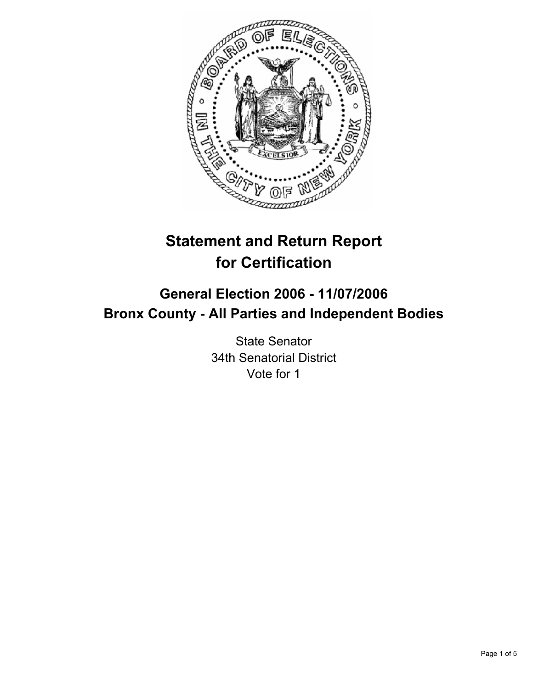

# **Statement and Return Report for Certification**

## **General Election 2006 - 11/07/2006 Bronx County - All Parties and Independent Bodies**

State Senator 34th Senatorial District Vote for 1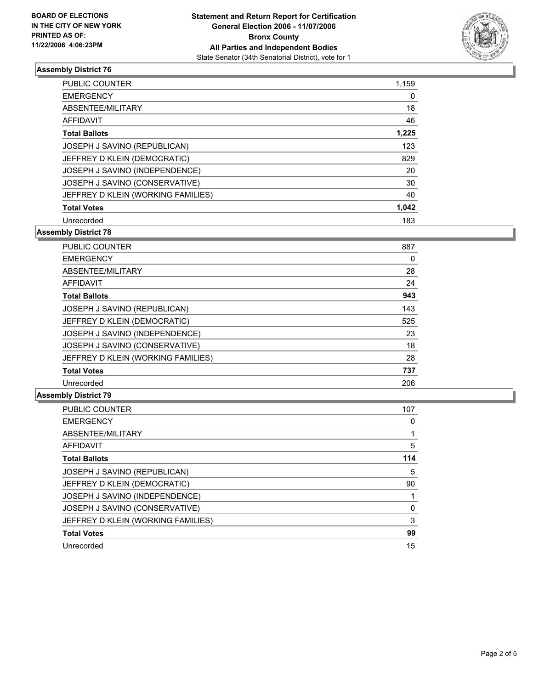

#### **Assembly District 76**

| <b>PUBLIC COUNTER</b>              | 1,159 |
|------------------------------------|-------|
| <b>EMERGENCY</b>                   | 0     |
| ABSENTEE/MILITARY                  | 18    |
| AFFIDAVIT                          | 46    |
| <b>Total Ballots</b>               | 1,225 |
| JOSEPH J SAVINO (REPUBLICAN)       | 123   |
| JEFFREY D KLEIN (DEMOCRATIC)       | 829   |
| JOSEPH J SAVINO (INDEPENDENCE)     | 20    |
| JOSEPH J SAVINO (CONSERVATIVE)     | 30    |
| JEFFREY D KLEIN (WORKING FAMILIES) | 40    |
| <b>Total Votes</b>                 | 1,042 |
| Unrecorded                         | 183   |

**Assembly District 78**

| PUBLIC COUNTER                     | 887 |  |
|------------------------------------|-----|--|
| <b>EMERGENCY</b>                   | 0   |  |
| ABSENTEE/MILITARY                  | 28  |  |
| AFFIDAVIT                          | 24  |  |
| <b>Total Ballots</b>               | 943 |  |
| JOSEPH J SAVINO (REPUBLICAN)       | 143 |  |
| JEFFREY D KLEIN (DEMOCRATIC)       | 525 |  |
| JOSEPH J SAVINO (INDEPENDENCE)     | 23  |  |
| JOSEPH J SAVINO (CONSERVATIVE)     | 18  |  |
| JEFFREY D KLEIN (WORKING FAMILIES) | 28  |  |
| <b>Total Votes</b>                 | 737 |  |
| Unrecorded                         | 206 |  |

#### **Assembly District 79**

| PUBLIC COUNTER                     | 107 |
|------------------------------------|-----|
| <b>EMERGENCY</b>                   |     |
| ABSENTEE/MILITARY                  |     |
| <b>AFFIDAVIT</b>                   | 5   |
| <b>Total Ballots</b>               | 114 |
| JOSEPH J SAVINO (REPUBLICAN)       | 5   |
| JEFFREY D KLEIN (DEMOCRATIC)       | 90  |
| JOSEPH J SAVINO (INDEPENDENCE)     |     |
| JOSEPH J SAVINO (CONSERVATIVE)     |     |
| JEFFREY D KLEIN (WORKING FAMILIES) | 3   |
| <b>Total Votes</b>                 | 99  |
| Unrecorded                         | 15  |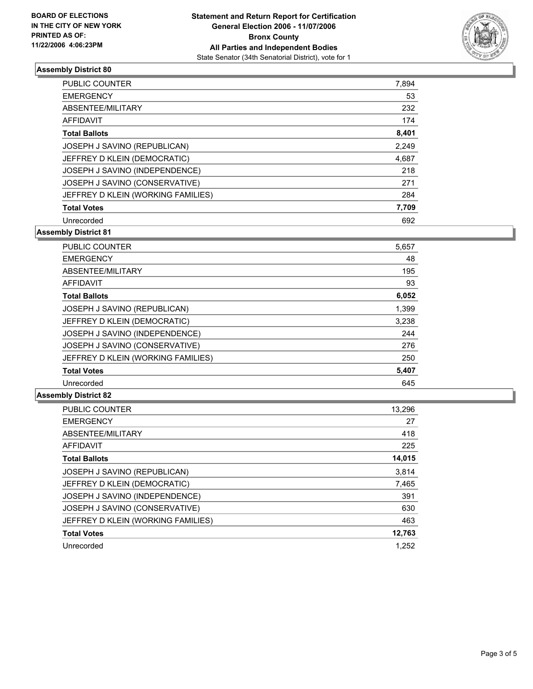

#### **Assembly District 80**

| PUBLIC COUNTER                     | 7,894 |
|------------------------------------|-------|
| <b>EMERGENCY</b>                   | 53    |
| ABSENTEE/MILITARY                  | 232   |
| AFFIDAVIT                          | 174   |
| <b>Total Ballots</b>               | 8,401 |
| JOSEPH J SAVINO (REPUBLICAN)       | 2,249 |
| JEFFREY D KLEIN (DEMOCRATIC)       | 4,687 |
| JOSEPH J SAVINO (INDEPENDENCE)     | 218   |
| JOSEPH J SAVINO (CONSERVATIVE)     | 271   |
| JEFFREY D KLEIN (WORKING FAMILIES) | 284   |
| <b>Total Votes</b>                 | 7,709 |
| Unrecorded                         | 692   |

**Assembly District 81**

| PUBLIC COUNTER                     | 5,657 |
|------------------------------------|-------|
| <b>EMERGENCY</b>                   | 48    |
| ABSENTEE/MILITARY                  | 195   |
| AFFIDAVIT                          | 93    |
| <b>Total Ballots</b>               | 6,052 |
| JOSEPH J SAVINO (REPUBLICAN)       | 1,399 |
| JEFFREY D KLEIN (DEMOCRATIC)       | 3,238 |
| JOSEPH J SAVINO (INDEPENDENCE)     | 244   |
| JOSEPH J SAVINO (CONSERVATIVE)     | 276   |
| JEFFREY D KLEIN (WORKING FAMILIES) | 250   |
| <b>Total Votes</b>                 | 5,407 |
| Unrecorded                         | 645   |

#### **Assembly District 82**

| 13,296 |
|--------|
| 27     |
| 418    |
| 225    |
| 14,015 |
| 3,814  |
| 7,465  |
| 391    |
| 630    |
| 463    |
| 12,763 |
| 1.252  |
|        |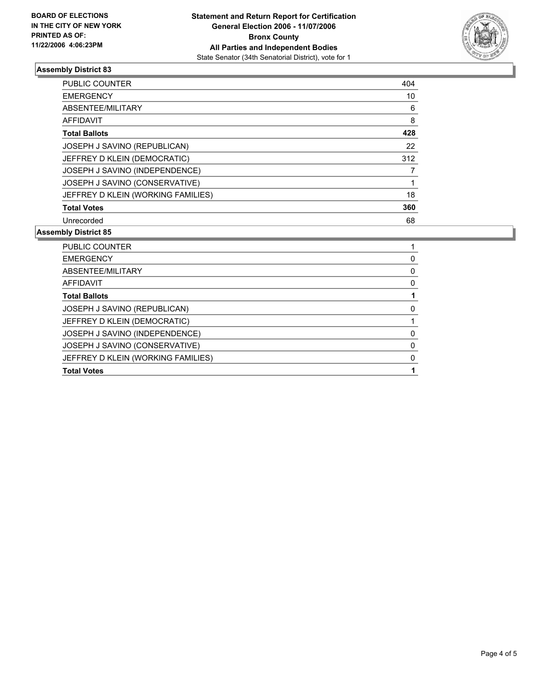

#### **Assembly District 83**

| PUBLIC COUNTER                     | 404 |
|------------------------------------|-----|
| <b>EMERGENCY</b>                   | 10  |
| ABSENTEE/MILITARY                  | 6   |
| AFFIDAVIT                          | 8   |
| <b>Total Ballots</b>               | 428 |
| JOSEPH J SAVINO (REPUBLICAN)       | 22  |
| JEFFREY D KLEIN (DEMOCRATIC)       | 312 |
| JOSEPH J SAVINO (INDEPENDENCE)     |     |
| JOSEPH J SAVINO (CONSERVATIVE)     |     |
| JEFFREY D KLEIN (WORKING FAMILIES) | 18  |
| <b>Total Votes</b>                 | 360 |
| Unrecorded                         | 68  |

#### **Assembly District 85**

| PUBLIC COUNTER                     |  |
|------------------------------------|--|
| <b>EMERGENCY</b>                   |  |
| ABSENTEE/MILITARY                  |  |
| <b>AFFIDAVIT</b>                   |  |
| <b>Total Ballots</b>               |  |
| JOSEPH J SAVINO (REPUBLICAN)       |  |
| JEFFREY D KLEIN (DEMOCRATIC)       |  |
| JOSEPH J SAVINO (INDEPENDENCE)     |  |
| JOSEPH J SAVINO (CONSERVATIVE)     |  |
| JEFFREY D KLEIN (WORKING FAMILIES) |  |
| <b>Total Votes</b>                 |  |